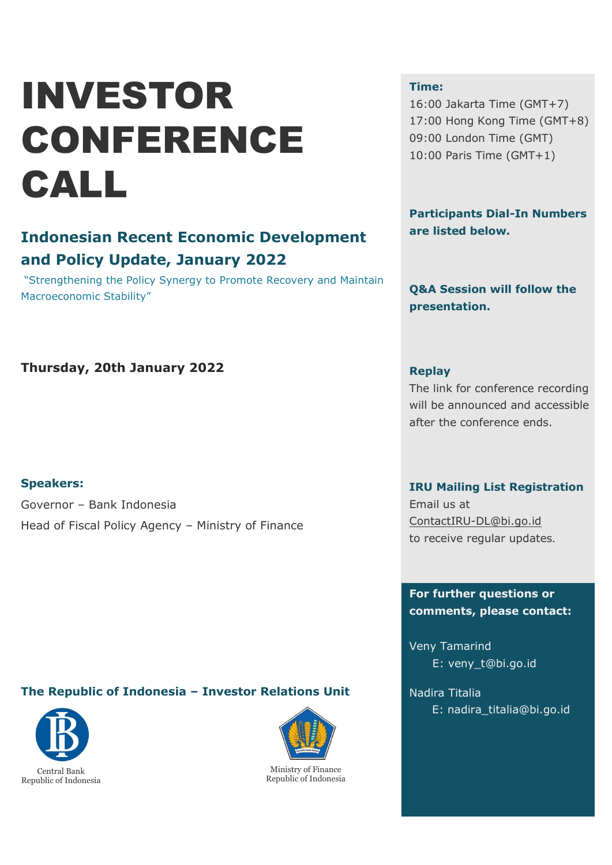# INVESTOR CONFERENCE CALL

## **Indonesian Recent Economic Development and Policy Update, January 2022**

"Strengthening the Policy Synergy to Promote Recovery and Maintain Macroeconomic Stability"

#### **Time:**

16:00 Jakarta Time (GMT+7) 17:00 Hong Kong Time (GMT+8) 09:00 London Time (GMT) 10:00 Paris Time (GMT+1)

**Participants Dial-In Numbers are listed below.**

**Q&A Session will follow the presentation.**

## **Thursday, 20th January 2022**

#### **Speakers:**

Governor – Bank Indonesia Head of Fiscal Policy Agency – Ministry of Finance

#### **Replay**

The link for conference recording will be announced and accessible after the conference ends.

#### **IRU Mailing List Registration**

Email us at ContactIRU-DL@bi.go.id to receive regular updates.

#### **For further questions or comments, please contact:**

Veny Tamarind E: veny\_t@bi.go.id

Nadira Titalia E: nadira\_titalia@bi.go.id

### **The Republic of Indonesia – Investor Relations Unit**





Ministry of Finance Republic of Indonesia